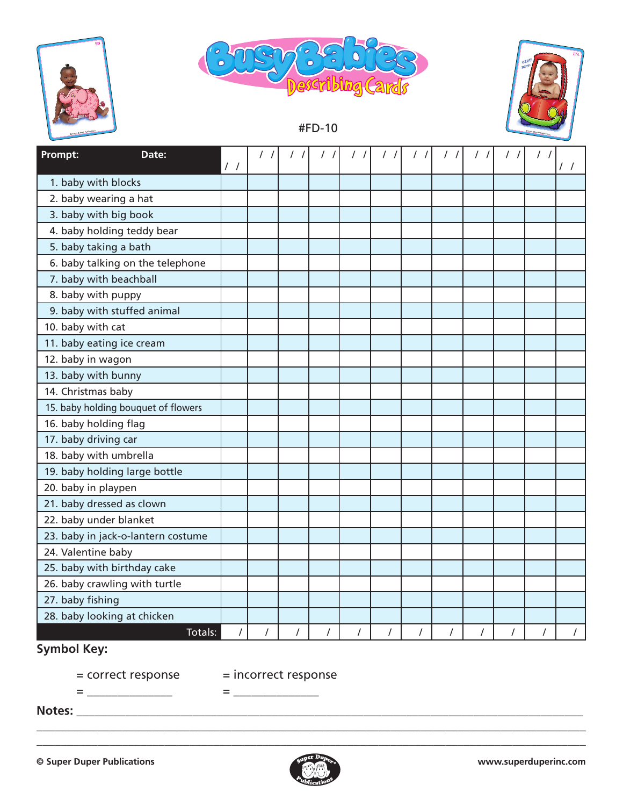





#FD-10

| Prompt:<br>Date:                    |         | $\frac{1}{2}$ | $\frac{1}{2}$ | $\frac{1}{2}$ | $\frac{1}{2}$ | $\frac{1}{2}$ | $\prime$<br>$\prime$ | $\frac{1}{2}$ |   |  | $\prime$ / |
|-------------------------------------|---------|---------------|---------------|---------------|---------------|---------------|----------------------|---------------|---|--|------------|
| 1. baby with blocks                 |         |               |               |               |               |               |                      |               |   |  |            |
| 2. baby wearing a hat               |         |               |               |               |               |               |                      |               |   |  |            |
| 3. baby with big book               |         |               |               |               |               |               |                      |               |   |  |            |
| 4. baby holding teddy bear          |         |               |               |               |               |               |                      |               |   |  |            |
| 5. baby taking a bath               |         |               |               |               |               |               |                      |               |   |  |            |
| 6. baby talking on the telephone    |         |               |               |               |               |               |                      |               |   |  |            |
| 7. baby with beachball              |         |               |               |               |               |               |                      |               |   |  |            |
| 8. baby with puppy                  |         |               |               |               |               |               |                      |               |   |  |            |
| 9. baby with stuffed animal         |         |               |               |               |               |               |                      |               |   |  |            |
| 10. baby with cat                   |         |               |               |               |               |               |                      |               |   |  |            |
| 11. baby eating ice cream           |         |               |               |               |               |               |                      |               |   |  |            |
| 12. baby in wagon                   |         |               |               |               |               |               |                      |               |   |  |            |
| 13. baby with bunny                 |         |               |               |               |               |               |                      |               |   |  |            |
| 14. Christmas baby                  |         |               |               |               |               |               |                      |               |   |  |            |
| 15. baby holding bouquet of flowers |         |               |               |               |               |               |                      |               |   |  |            |
| 16. baby holding flag               |         |               |               |               |               |               |                      |               |   |  |            |
| 17. baby driving car                |         |               |               |               |               |               |                      |               |   |  |            |
| 18. baby with umbrella              |         |               |               |               |               |               |                      |               |   |  |            |
| 19. baby holding large bottle       |         |               |               |               |               |               |                      |               |   |  |            |
| 20. baby in playpen                 |         |               |               |               |               |               |                      |               |   |  |            |
| 21. baby dressed as clown           |         |               |               |               |               |               |                      |               |   |  |            |
| 22. baby under blanket              |         |               |               |               |               |               |                      |               |   |  |            |
| 23. baby in jack-o-lantern costume  |         |               |               |               |               |               |                      |               |   |  |            |
| 24. Valentine baby                  |         |               |               |               |               |               |                      |               |   |  |            |
| 25. baby with birthday cake         |         |               |               |               |               |               |                      |               |   |  |            |
| 26. baby crawling with turtle       |         |               |               |               |               |               |                      |               |   |  |            |
| 27. baby fishing                    |         |               |               |               |               |               |                      |               |   |  |            |
| 28. baby looking at chicken         |         |               |               |               |               |               |                      |               |   |  |            |
|                                     | Totals: |               |               |               |               | T             | I                    |               | I |  |            |

## **Symbol Key:**

= correct response = incorrect response

= \_\_\_\_\_\_\_\_\_\_\_\_\_\_ = \_\_\_\_\_\_\_\_\_\_\_\_\_\_

**Notes:** \_\_\_\_\_\_\_\_\_\_\_\_\_\_\_\_\_\_\_\_\_\_\_\_\_\_\_\_\_\_\_\_\_\_\_\_\_\_\_\_\_\_\_\_\_\_\_\_\_\_\_\_\_\_\_\_\_\_\_\_\_\_\_\_\_\_\_\_\_\_\_\_\_\_\_\_\_\_\_\_\_\_\_



\_\_\_\_\_\_\_\_\_\_\_\_\_\_\_\_\_\_\_\_\_\_\_\_\_\_\_\_\_\_\_\_\_\_\_\_\_\_\_\_\_\_\_\_\_\_\_\_\_\_\_\_\_\_\_\_\_\_\_\_\_\_\_\_\_\_\_\_\_\_\_\_\_\_\_\_\_\_\_\_\_\_\_\_\_\_\_\_\_\_ \_\_\_\_\_\_\_\_\_\_\_\_\_\_\_\_\_\_\_\_\_\_\_\_\_\_\_\_\_\_\_\_\_\_\_\_\_\_\_\_\_\_\_\_\_\_\_\_\_\_\_\_\_\_\_\_\_\_\_\_\_\_\_\_\_\_\_\_\_\_\_\_\_\_\_\_\_\_\_\_\_\_\_\_\_\_\_\_\_\_